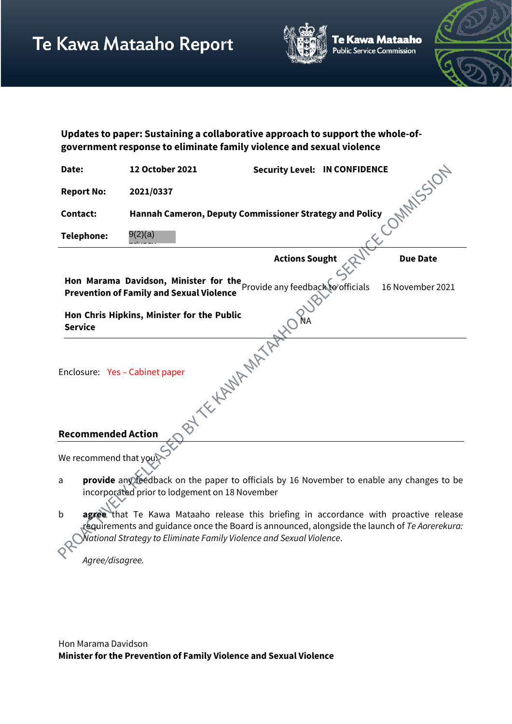

e Kawa Mataaho ublic Service Commission



| Updates to paper: Sustaining a collaborative approach to support the whole-of- |
|--------------------------------------------------------------------------------|
| government response to eliminate family violence and sexual violence           |

| Date:                                                                                                                                                                                                          | 12 October 2021                                         | <b>Security Level: IN CONFIDENCE</b> |  |                 |  |
|----------------------------------------------------------------------------------------------------------------------------------------------------------------------------------------------------------------|---------------------------------------------------------|--------------------------------------|--|-----------------|--|
| <b>Report No:</b>                                                                                                                                                                                              | 2021/0337                                               |                                      |  | <b>MANSSION</b> |  |
| Contact:                                                                                                                                                                                                       | Hannah Cameron, Deputy Commissioner Strategy and Policy |                                      |  |                 |  |
| <b>Telephone:</b>                                                                                                                                                                                              | 9(2)(a)                                                 |                                      |  |                 |  |
|                                                                                                                                                                                                                |                                                         | <b>Actions Sought</b>                |  | <b>Due Date</b> |  |
| Hon Marama Davidson, Minister for the Provide any feedback to officials<br>16 November 2021<br><b>Prevention of Family and Sexual Violence</b><br>Hon Chris Hipkins, Minister for the Public<br><b>Service</b> |                                                         |                                      |  |                 |  |
| Enclosure: Yes - Cabinet paper                                                                                                                                                                                 | BY TE HANDA MATI                                        |                                      |  |                 |  |
| <b>Recommended Action</b><br>We recommend that you                                                                                                                                                             |                                                         |                                      |  |                 |  |

- a **provide** any feedback on the paper to officials by 16 November to enable any changes to be incorporated prior to lodgement on 18 November
- b **agree** that Te Kawa Mataaho release this briefing in accordance with proactive release requirements and guidance once the Board is announced, alongside the launch of *Te Aorerekura: National Strategy to Eliminate Family Violence and Sexual Violence*.

*Agree/disagree.*

 $\mathcal{O}^{\mathcal{S}}$